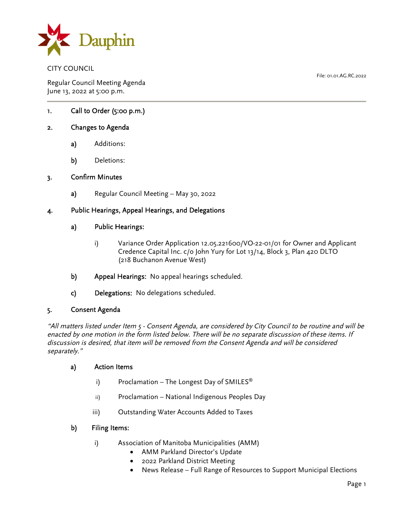

CITY COUNCIL

Regular Council Meeting Agenda June 13, 2022 at 5:00 p.m.

File: 01.01.AG.RC.2022

1. Call to Order (5:00 p.m.)

# 2. Changes to Agenda

- a) Additions:
- b) Deletions:

### 3. Confirm Minutes

a) Regular Council Meeting – May 30, 2022

## 4. Public Hearings, Appeal Hearings, and Delegations

### a) Public Hearings:

- i) Variance Order Application 12.05.221600/VO-22-01/01 for Owner and Applicant Credence Capital Inc. c/o John Yury for Lot 13/14, Block 3, Plan 420 DLTO (218 Buchanon Avenue West)
- b) Appeal Hearings: No appeal hearings scheduled.
- c) Delegations: No delegations scheduled.

### 5. Consent Agenda

"All matters listed under Item 5 - Consent Agenda, are considered by City Council to be routine and will be enacted by one motion in the form listed below. There will be no separate discussion of these items. If discussion is desired, that item will be removed from the Consent Agenda and will be considered separately."

### a) Action Items

- i) Proclamation The Longest Day of SMILES<sup>®</sup>
- ii) Proclamation National Indigenous Peoples Day
- iii) Outstanding Water Accounts Added to Taxes

### b) Filing Items:

- i) Association of Manitoba Municipalities (AMM)
	- AMM Parkland Director's Update
	- 2022 Parkland District Meeting
	- News Release Full Range of Resources to Support Municipal Elections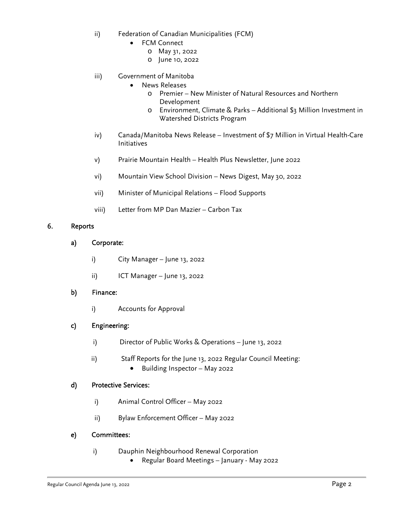- ii) Federation of Canadian Municipalities (FCM)
	- FCM Connect
		- o May 31, 2022
		- o June 10, 2022
- iii) Government of Manitoba
	- News Releases
		- o Premier New Minister of Natural Resources and Northern Development
		- o Environment, Climate & Parks Additional \$3 Million Investment in Watershed Districts Program
- iv) Canada/Manitoba News Release Investment of \$7 Million in Virtual Health-Care Initiatives
- v) Prairie Mountain Health Health Plus Newsletter, June 2022
- vi) Mountain View School Division News Digest, May 30, 2022
- vii) Minister of Municipal Relations Flood Supports
- viii) Letter from MP Dan Mazier Carbon Tax

#### 6. Reports

- a) Corporate:
	- i) City Manager June 13, 2022
	- ii) ICT Manager June 13, 2022
- b) Finance:
	- i) Accounts for Approval

### c) Engineering:

- i) Director of Public Works & Operations June 13, 2022
- ii) Staff Reports for the June 13, 2022 Regular Council Meeting:
	- Building Inspector May 2022

### d) Protective Services:

- i) Animal Control Officer May 2022
- ii) Bylaw Enforcement Officer May 2022

### e) Committees:

- i) Dauphin Neighbourhood Renewal Corporation
	- Regular Board Meetings January May 2022